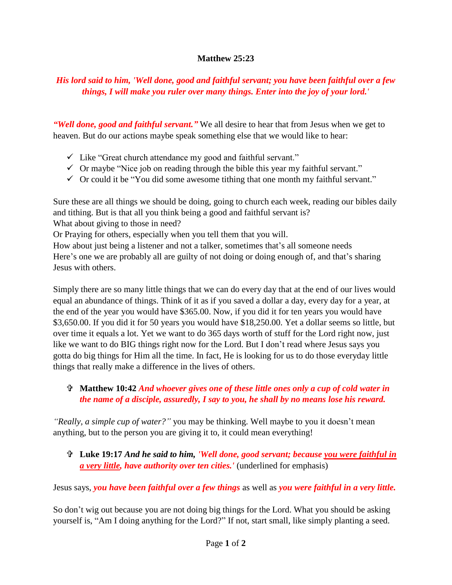## **Matthew 25:23**

## *His lord said to him, 'Well done, good and faithful servant; you have been faithful over a few things, I will make you ruler over many things. Enter into the joy of your lord.'*

*"Well done, good and faithful servant."* We all desire to hear that from Jesus when we get to heaven. But do our actions maybe speak something else that we would like to hear:

- $\checkmark$  Like "Great church attendance my good and faithful servant."
- $\checkmark$  Or maybe "Nice job on reading through the bible this year my faithful servant."
- $\checkmark$  Or could it be "You did some awesome tithing that one month my faithful servant."

Sure these are all things we should be doing, going to church each week, reading our bibles daily and tithing. But is that all you think being a good and faithful servant is?

What about giving to those in need?

Or Praying for others, especially when you tell them that you will.

How about just being a listener and not a talker, sometimes that's all someone needs Here's one we are probably all are guilty of not doing or doing enough of, and that's sharing Jesus with others.

Simply there are so many little things that we can do every day that at the end of our lives would equal an abundance of things. Think of it as if you saved a dollar a day, every day for a year, at the end of the year you would have \$365.00. Now, if you did it for ten years you would have \$3,650.00. If you did it for 50 years you would have \$18,250.00. Yet a dollar seems so little, but over time it equals a lot. Yet we want to do 365 days worth of stuff for the Lord right now, just like we want to do BIG things right now for the Lord. But I don't read where Jesus says you gotta do big things for Him all the time. In fact, He is looking for us to do those everyday little things that really make a difference in the lives of others.

## **Matthew 10:42** *And whoever gives one of these little ones only a cup of cold water in the name of a disciple, assuredly, I say to you, he shall by no means lose his reward.*

*"Really, a simple cup of water?"* you may be thinking. Well maybe to you it doesn't mean anything, but to the person you are giving it to, it could mean everything!

## **Luke 19:17** *And he said to him, 'Well done, good servant; because you were faithful in a very little, have authority over ten cities.'* (underlined for emphasis)

Jesus says, *you have been faithful over a few things* as well as *you were faithful in a very little.*

So don't wig out because you are not doing big things for the Lord. What you should be asking yourself is, "Am I doing anything for the Lord?" If not, start small, like simply planting a seed.